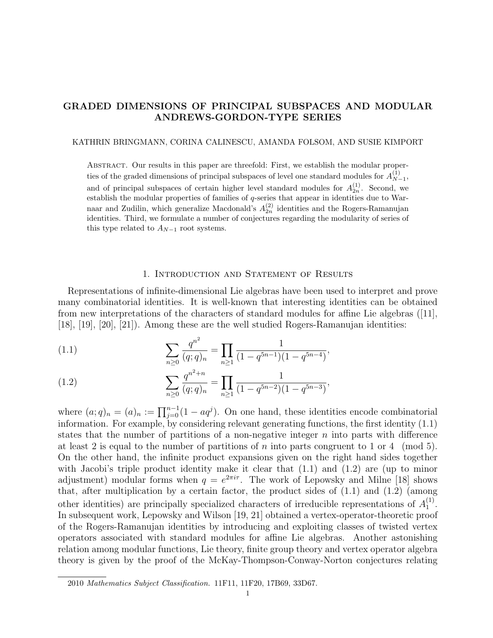# GRADED DIMENSIONS OF PRINCIPAL SUBSPACES AND MODULAR ANDREWS-GORDON-TYPE SERIES

## KATHRIN BRINGMANN, CORINA CALINESCU, AMANDA FOLSOM, AND SUSIE KIMPORT

Abstract. Our results in this paper are threefold: First, we establish the modular properties of the graded dimensions of principal subspaces of level one standard modules for  $A_{N}^{(1)}$  $_{N-1}^{(1)},$ and of principal subspaces of certain higher level standard modules for  $A_{2n}^{(1)}$ . Second, we establish the modular properties of families of q-series that appear in identities due to Warnaar and Zudilin, which generalize Macdonald's  $A_{2n}^{(2)}$  identities and the Rogers-Ramanujan identities. Third, we formulate a number of conjectures regarding the modularity of series of this type related to  $A_{N-1}$  root systems.

# 1. Introduction and Statement of Results

Representations of infinite-dimensional Lie algebras have been used to interpret and prove many combinatorial identities. It is well-known that interesting identities can be obtained from new interpretations of the characters of standard modules for affine Lie algebras ([11], [18], [19], [20], [21]). Among these are the well studied Rogers-Ramanujan identities:

(1.1) 
$$
\sum_{n\geq 0} \frac{q^{n^2}}{(q;q)_n} = \prod_{n\geq 1} \frac{1}{(1-q^{5n-1})(1-q^{5n-4})},
$$

(1.2) 
$$
\sum_{n\geq 0} \frac{q^{n^2+n}}{(q;q)_n} = \prod_{n\geq 1} \frac{1}{(1-q^{5n-2})(1-q^{5n-3})},
$$

where  $(a;q)_n = (a)_n := \prod_{j=0}^{n-1} (1 - aq^j)$ . On one hand, these identities encode combinatorial information. For example, by considering relevant generating functions, the first identity (1.1) states that the number of partitions of a non-negative integer  $n$  into parts with difference at least 2 is equal to the number of partitions of n into parts congruent to 1 or 4 (mod 5). On the other hand, the infinite product expansions given on the right hand sides together with Jacobi's triple product identity make it clear that  $(1.1)$  and  $(1.2)$  are (up to minor adjustment) modular forms when  $q = e^{2\pi i \tau}$ . The work of Lepowsky and Milne [18] shows that, after multiplication by a certain factor, the product sides of  $(1.1)$  and  $(1.2)$  (among other identities) are principally specialized characters of irreducible representations of  $A_1^{(1)}$  $\frac{(1)}{1}$ . In subsequent work, Lepowsky and Wilson [19, 21] obtained a vertex-operator-theoretic proof of the Rogers-Ramanujan identities by introducing and exploiting classes of twisted vertex operators associated with standard modules for affine Lie algebras. Another astonishing relation among modular functions, Lie theory, finite group theory and vertex operator algebra theory is given by the proof of the McKay-Thompson-Conway-Norton conjectures relating

<sup>2010</sup> Mathematics Subject Classification. 11F11, 11F20, 17B69, 33D67.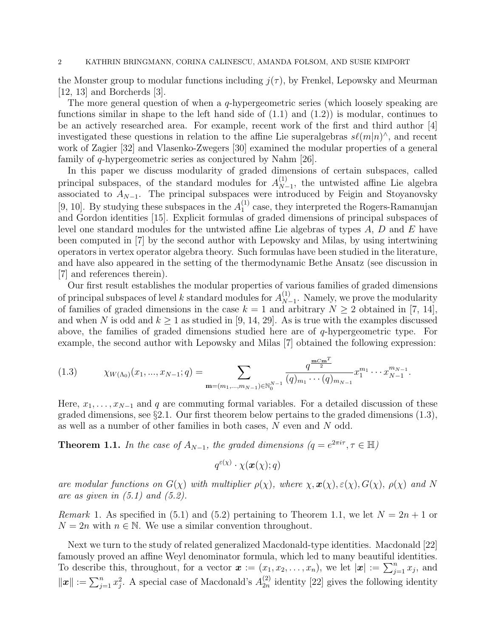the Monster group to modular functions including  $j(\tau)$ , by Frenkel, Lepowsky and Meurman [12, 13] and Borcherds [3].

The more general question of when a q-hypergeometric series (which loosely speaking are functions similar in shape to the left hand side of  $(1.1)$  and  $(1.2)$ ) is modular, continues to be an actively researched area. For example, recent work of the first and third author [4] investigated these questions in relation to the affine Lie superalgebras  $s\ell(m|n)^\wedge$ , and recent work of Zagier [32] and Vlasenko-Zwegers [30] examined the modular properties of a general family of q-hypergeometric series as conjectured by Nahm [26].

In this paper we discuss modularity of graded dimensions of certain subspaces, called principal subspaces, of the standard modules for  $A_{N}^{(1)}$  $_{N-1}^{(1)}$ , the untwisted affine Lie algebra associated to  $A_{N-1}$ . The principal subspaces were introduced by Feigin and Stoyanovsky [9, 10]. By studying these subspaces in the  $A_1^{(1)}$  $_1^{(1)}$  case, they interpreted the Rogers-Ramanujan and Gordon identities [15]. Explicit formulas of graded dimensions of principal subspaces of level one standard modules for the untwisted affine Lie algebras of types A, D and E have been computed in [7] by the second author with Lepowsky and Milas, by using intertwining operators in vertex operator algebra theory. Such formulas have been studied in the literature, and have also appeared in the setting of the thermodynamic Bethe Ansatz (see discussion in [7] and references therein).

Our first result establishes the modular properties of various families of graded dimensions of principal subspaces of level k standard modules for  $A_{N}^{(1)}$  $_{N-1}^{(1)}$ . Namely, we prove the modularity of families of graded dimensions in the case  $k = 1$  and arbitrary  $N \geq 2$  obtained in [7, 14], and when N is odd and  $k > 1$  as studied in [9, 14, 29]. As is true with the examples discussed above, the families of graded dimensions studied here are of q-hypergeometric type. For example, the second author with Lepowsky and Milas [7] obtained the following expression:

χW(Λ0)(x1, ..., xN−1; q) = X m=(m1,...,mN−1)∈N N−1 0 q mCmT 2 (q)<sup>m</sup><sup>1</sup> · · ·(q)<sup>m</sup>N−<sup>1</sup> x m<sup>1</sup> 1 · · · x mN−<sup>1</sup> N−1 (1.3) .

Here,  $x_1, \ldots, x_{N-1}$  and q are commuting formal variables. For a detailed discussion of these graded dimensions, see  $\S 2.1$ . Our first theorem below pertains to the graded dimensions  $(1.3)$ , as well as a number of other families in both cases, N even and N odd.

**Theorem 1.1.** In the case of  $A_{N-1}$ , the graded dimensions  $(q = e^{2\pi i \tau}, \tau \in \mathbb{H})$ 

$$
q^{\varepsilon(\chi)} \cdot \chi(\bm{x}(\chi);q)
$$

are modular functions on  $G(\chi)$  with multiplier  $\rho(\chi)$ , where  $\chi, \mathbf{x}(\chi), \varepsilon(\chi), G(\chi), \rho(\chi)$  and N are as given in  $(5.1)$  and  $(5.2)$ .

*Remark* 1. As specified in (5.1) and (5.2) pertaining to Theorem 1.1, we let  $N = 2n + 1$  or  $N = 2n$  with  $n \in \mathbb{N}$ . We use a similar convention throughout.

Next we turn to the study of related generalized Macdonald-type identities. Macdonald [22] famously proved an affine Weyl denominator formula, which led to many beautiful identities. To describe this, throughout, for a vector  $\boldsymbol{x} := (x_1, x_2, \ldots, x_n)$ , we let  $|\boldsymbol{x}| := \sum_{j=1}^n x_j$ , and  $||x|| := \sum_{j=1}^n x_j^2$ . A special case of Macdonald's  $A_{2n}^{(2)}$  $_{2n}^{(2)}$  identity [22] gives the following identity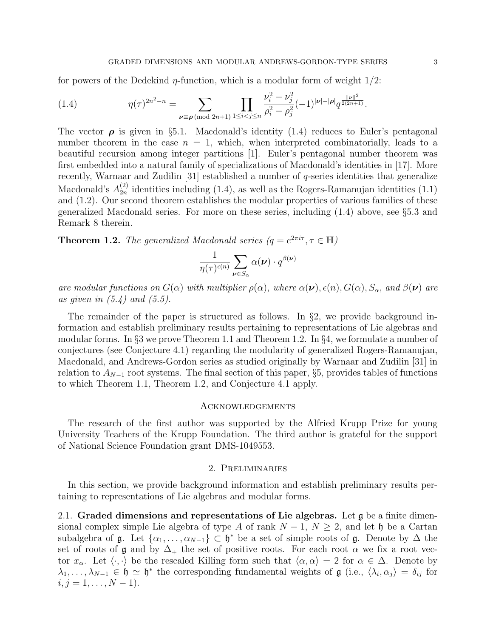for powers of the Dedekind  $\eta$ -function, which is a modular form of weight  $1/2$ :

(1.4) 
$$
\eta(\tau)^{2n^2-n} = \sum_{\nu \equiv \rho \pmod{2n+1}} \prod_{1 \leq i < j \leq n} \frac{\nu_i^2 - \nu_j^2}{\rho_i^2 - \rho_j^2} (-1)^{|\nu| - |\rho|} q^{\frac{||\nu||^2}{2(2n+1)}}.
$$

The vector  $\rho$  is given in §5.1. Macdonald's identity (1.4) reduces to Euler's pentagonal number theorem in the case  $n = 1$ , which, when interpreted combinatorially, leads to a beautiful recursion among integer partitions [1]. Euler's pentagonal number theorem was first embedded into a natural family of specializations of Macdonald's identities in [17]. More recently, Warnaar and Zudilin [31] established a number of  $q$ -series identities that generalize Macdonald's  $A_{2n}^{(2)}$  $\binom{2}{2n}$  identities including (1.4), as well as the Rogers-Ramanujan identities (1.1) and (1.2). Our second theorem establishes the modular properties of various families of these generalized Macdonald series. For more on these series, including (1.4) above, see §5.3 and Remark 8 therein.

**Theorem 1.2.** The generalized Macdonald series  $(q = e^{2\pi i \tau}, \tau \in \mathbb{H})$ 

$$
\frac{1}{\eta(\tau)^{\epsilon(n)}}\sum_{\pmb{\nu}\in S_\alpha}\alpha(\pmb{\nu})\cdot q^{\beta(\pmb{\nu})}
$$

are modular functions on  $G(\alpha)$  with multiplier  $\rho(\alpha)$ , where  $\alpha(\nu), \epsilon(n), G(\alpha), S_\alpha$ , and  $\beta(\nu)$  are as given in  $(5.4)$  and  $(5.5)$ .

The remainder of the paper is structured as follows. In §2, we provide background information and establish preliminary results pertaining to representations of Lie algebras and modular forms. In §3 we prove Theorem 1.1 and Theorem 1.2. In §4, we formulate a number of conjectures (see Conjecture 4.1) regarding the modularity of generalized Rogers-Ramanujan, Macdonald, and Andrews-Gordon series as studied originally by Warnaar and Zudilin [31] in relation to  $A_{N-1}$  root systems. The final section of this paper, §5, provides tables of functions to which Theorem 1.1, Theorem 1.2, and Conjecture 4.1 apply.

# Acknowledgements

The research of the first author was supported by the Alfried Krupp Prize for young University Teachers of the Krupp Foundation. The third author is grateful for the support of National Science Foundation grant DMS-1049553.

# 2. Preliminaries

In this section, we provide background information and establish preliminary results pertaining to representations of Lie algebras and modular forms.

2.1. Graded dimensions and representations of Lie algebras. Let  $\mathfrak g$  be a finite dimensional complex simple Lie algebra of type A of rank  $N-1$ ,  $N \geq 2$ , and let h be a Cartan subalgebra of  $\mathfrak g$ . Let  $\{\alpha_1,\ldots,\alpha_{N-1}\}\subset \mathfrak h^*$  be a set of simple roots of  $\mathfrak g$ . Denote by  $\Delta$  the set of roots of g and by  $\Delta_+$  the set of positive roots. For each root  $\alpha$  we fix a root vector  $x_\alpha$ . Let  $\langle \cdot, \cdot \rangle$  be the rescaled Killing form such that  $\langle \alpha, \alpha \rangle = 2$  for  $\alpha \in \Delta$ . Denote by  $\lambda_1,\ldots,\lambda_{N-1}\in\mathfrak{h}\simeq\mathfrak{h}^*$  the corresponding fundamental weights of  $\mathfrak{g}$  (i.e.,  $\langle\lambda_i,\alpha_j\rangle=\delta_{ij}$  for  $i, j = 1, \ldots, N - 1$ .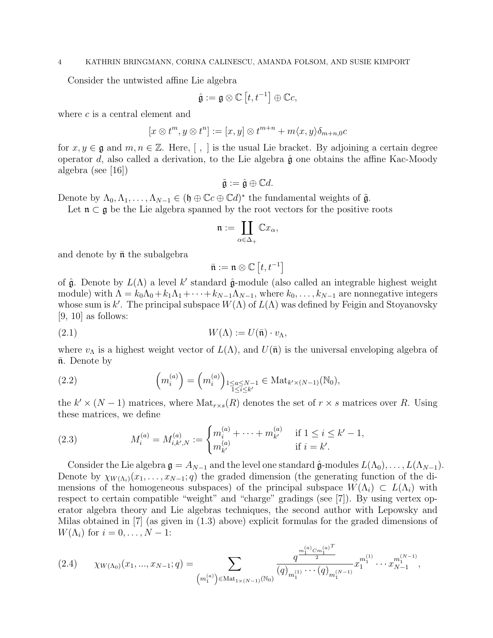Consider the untwisted affine Lie algebra

$$
\hat{\mathfrak{g}}:=\mathfrak{g}\otimes\mathbb{C}\left[ t,t^{-1}\right] \oplus\mathbb{C}c,
$$

where c is a central element and

$$
[x \otimes t^m, y \otimes t^n] := [x, y] \otimes t^{m+n} + m \langle x, y \rangle \delta_{m+n,0} c
$$

for  $x, y \in \mathfrak{g}$  and  $m, n \in \mathbb{Z}$ . Here,  $\lceil , \rceil$  is the usual Lie bracket. By adjoining a certain degree operator d, also called a derivation, to the Lie algebra  $\hat{\mathfrak{g}}$  one obtains the affine Kac-Moody algebra (see [16])

$$
\tilde{\mathfrak{g}} := \hat{\mathfrak{g}} \oplus \mathbb{C}d.
$$

Denote by  $\Lambda_0, \Lambda_1, \ldots, \Lambda_{N-1} \in (\mathfrak{h} \oplus \mathbb{C}c \oplus \mathbb{C}d)^*$  the fundamental weights of  $\tilde{\mathfrak{g}}$ .

Let  $\mathfrak{n} \subset \mathfrak{g}$  be the Lie algebra spanned by the root vectors for the positive roots

$$
\mathfrak{n}:=\coprod_{\alpha\in\Delta_+}\mathbb{C} x_\alpha,
$$

and denote by  $\bar{\mathfrak{n}}$  the subalgebra

$$
\bar{\mathfrak{n}}:=\mathfrak{n}\otimes\mathbb{C}\left[ t,t^{-1}\right]
$$

of  $\hat{\mathfrak{g}}$ . Denote by  $L(\Lambda)$  a level k' standard  $\hat{\mathfrak{g}}$ -module (also called an integrable highest weight module) with  $\Lambda = k_0\Lambda_0 + k_1\Lambda_1 + \cdots + k_{N-1}\Lambda_{N-1}$ , where  $k_0, \ldots, k_{N-1}$  are nonnegative integers whose sum is k'. The principal subspace  $W(\Lambda)$  of  $L(\Lambda)$  was defined by Feigin and Stoyanovsky  $[9, 10]$  as follows:

(2.1) 
$$
W(\Lambda) := U(\bar{\mathfrak{n}}) \cdot v_{\Lambda},
$$

where  $v_{\Lambda}$  is a highest weight vector of  $L(\Lambda)$ , and  $U(\bar{\mathfrak{n}})$  is the universal enveloping algebra of  $\bar{\mathfrak{n}}$ . Denote by

(2.2) 
$$
\left(m_i^{(a)}\right) = \left(m_i^{(a)}\right)_{\substack{1 \le a \le N-1 \\ 1 \le i \le k'}} \in \text{Mat}_{k' \times (N-1)}(\mathbb{N}_0),
$$

the  $k' \times (N-1)$  matrices, where  $\text{Mat}_{r \times s}(R)$  denotes the set of  $r \times s$  matrices over R. Using these matrices, we define

(2.3) 
$$
M_i^{(a)} = M_{i,k',N}^{(a)} := \begin{cases} m_i^{(a)} + \cdots + m_{k'}^{(a)} & \text{if } 1 \le i \le k'-1, \\ m_{k'}^{(a)} & \text{if } i = k'. \end{cases}
$$

Consider the Lie algebra  $\mathfrak{g} = A_{N-1}$  and the level one standard  $\hat{\mathfrak{g}}$ -modules  $L(\Lambda_0), \ldots, L(\Lambda_{N-1})$ . Denote by  $\chi_{W(\Lambda_i)}(x_1,\ldots,x_{N-1};q)$  the graded dimension (the generating function of the dimensions of the homogeneous subspaces) of the principal subspace  $W(\Lambda_i) \subset L(\Lambda_i)$  with respect to certain compatible "weight" and "charge" gradings (see [7]). By using vertex operator algebra theory and Lie algebras techniques, the second author with Lepowsky and Milas obtained in [7] (as given in (1.3) above) explicit formulas for the graded dimensions of  $W(\Lambda_i)$  for  $i=0,\ldots,N-1$ :

$$
(2.4) \qquad \chi_{W(\Lambda_0)}(x_1,...,x_{N-1};q) = \sum_{\substack{m_1^{(a)} \in \Lambda_1 \setminus \{N-1\} \ (N_0) \\ m_1^{(a)} \geq N \text{at}_{1 \times (N-1)} \setminus \{N_0\}}} \frac{q^{\frac{m_1^{(a)} C m_1^{(a)} T}{2}}}{(q)_{m_1^{(1)}} \cdots (q)_{m_1^{(N-1)}}} x_1^{m_1^{(1)}} \cdots x_{N-1}^{m_1^{(N-1)}},
$$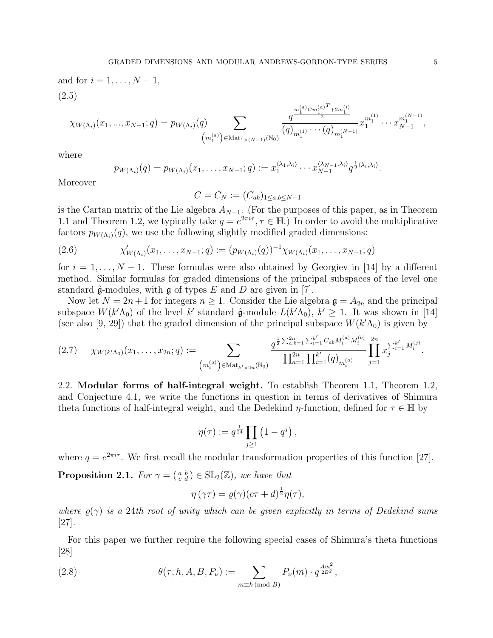and for 
$$
i = 1, ..., N - 1
$$
,  
\n(2.5)  
\n
$$
\chi_{W(\Lambda_i)}(x_1, ..., x_{N-1}; q) = p_{W(\Lambda_i)}(q) \sum_{\substack{m_1^{(a)} \subset m_1^{(a)} \ (m_1^{(a)}) \in \text{Mat}_{1 \times (N-1)}(\mathbb{N}_0)}} \frac{q^{\frac{m_1^{(a)} C m_1^{(a)}^T + 2m_1^{(i)}}{2}}}{(q)_{m_1^{(1)}} \cdots (q)_{m_1^{(N-1)}}} x_1^{m_1^{(1)}} \cdots x_{N-1}^{m_1^{(N-1)}},
$$

where

$$
p_{W(\Lambda_i)}(q) = p_{W(\Lambda_i)}(x_1,\ldots,x_{N-1};q) := x_1^{\langle \lambda_1,\lambda_i \rangle} \cdots x_{N-1}^{\langle \lambda_{N-1},\lambda_i \rangle} q^{\frac{1}{2}\langle \lambda_i,\lambda_i \rangle}.
$$

Moreover

$$
C=C_N:=(C_{ab})_{1\leq a,b\leq N-1}
$$

is the Cartan matrix of the Lie algebra  $A_{N-1}$ . (For the purposes of this paper, as in Theorem 1.1 and Theorem 1.2, we typically take  $q = e^{2\pi i \tau}, \tau \in \mathbb{H}$ . In order to avoid the multiplicative factors  $p_{W(\Lambda_i)}(q)$ , we use the following slightly modified graded dimensions:

(2.6) 
$$
\chi'_{W(\Lambda_i)}(x_1,\ldots,x_{N-1};q) := (p_{W(\Lambda_i)}(q))^{-1}\chi_{W(\Lambda_i)}(x_1,\ldots,x_{N-1};q)
$$

for  $i = 1, \ldots, N-1$ . These formulas were also obtained by Georgiev in [14] by a different method. Similar formulas for graded dimensions of the principal subspaces of the level one standard  $\hat{\mathfrak{g}}$ -modules, with  $\mathfrak{g}$  of types E and D are given in [7].

Now let  $N = 2n + 1$  for integers  $n \ge 1$ . Consider the Lie algebra  $\mathfrak{g} = A_{2n}$  and the principal subspace  $W(k'\Lambda_0)$  of the level k' standard  $\hat{\mathfrak{g}}$ -module  $L(k'\Lambda_0)$ ,  $k' \geq 1$ . It was shown in [14] (see also [9, 29]) that the graded dimension of the principal subspace  $W(k'\Lambda_0)$  is given by

$$
(2.7) \quad \chi_{W(k'\Lambda_0)}(x_1,\ldots,x_{2n};q) := \sum_{\substack{(m_i^{(a)}) \in \text{Mat}_{k'\times 2n}(\mathbb{N}_0)}} \frac{q^{\frac{1}{2}\sum_{a,b=1}^{2n}\sum_{i=1}^{k'}C_{ab}M_i^{(a)}M_i^{(b)}}}{\prod_{a=1}^{2n}\prod_{i=1}^{k'}(q)_{m_i^{(a)}}} \prod_{j=1}^{2n}x_j^{\sum_{i=1}^{k'}M_i^{(j)}}.
$$

2.2. Modular forms of half-integral weight. To establish Theorem 1.1, Theorem 1.2, and Conjecture 4.1, we write the functions in question in terms of derivatives of Shimura theta functions of half-integral weight, and the Dedekind  $\eta$ -function, defined for  $\tau \in \mathbb{H}$  by

$$
\eta(\tau) := q^{\frac{1}{24}} \prod_{j \geq 1} \left( 1 - q^j \right),
$$

where  $q = e^{2\pi i \tau}$ . We first recall the modular transformation properties of this function [27].

**Proposition 2.1.** For  $\gamma = \begin{pmatrix} a & b \\ c & d \end{pmatrix} \in SL_2(\mathbb{Z})$ , we have that

$$
\eta(\gamma\tau) = \varrho(\gamma)(c\tau + d)^{\frac{1}{2}}\eta(\tau),
$$

where  $\rho(\gamma)$  is a 24th root of unity which can be given explicitly in terms of Dedekind sums [27].

For this paper we further require the following special cases of Shimura's theta functions [28]

(2.8) 
$$
\theta(\tau; h, A, B, P_{\nu}) := \sum_{m \equiv h \pmod{B}} P_{\nu}(m) \cdot q^{\frac{Am^2}{2B^2}},
$$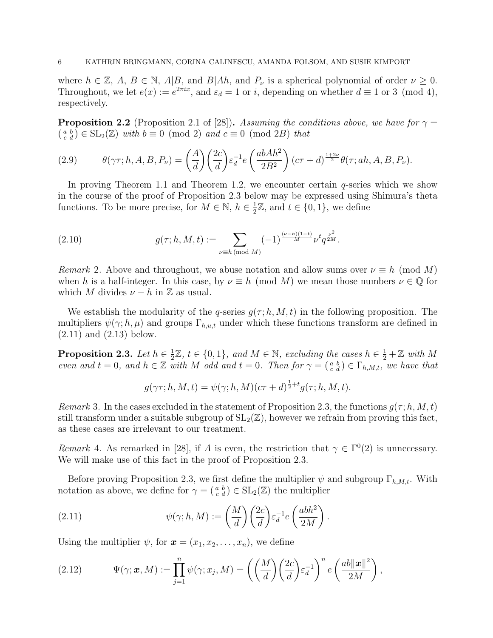where  $h \in \mathbb{Z}, A, B \in \mathbb{N}, A|B$ , and  $B|Ah$ , and  $P_{\nu}$  is a spherical polynomial of order  $\nu \geq 0$ . Throughout, we let  $e(x) := e^{2\pi ix}$ , and  $\varepsilon_d = 1$  or i, depending on whether  $d \equiv 1$  or 3 (mod 4), respectively.

**Proposition 2.2** (Proposition 2.1 of [28]). Assuming the conditions above, we have for  $\gamma =$  $\left(\begin{smallmatrix} a & b \\ c & d \end{smallmatrix}\right) \in SL_2(\mathbb{Z})$  with  $b \equiv 0 \pmod{2}$  and  $c \equiv 0 \pmod{2B}$  that

(2.9) 
$$
\theta(\gamma \tau; h, A, B, P_{\nu}) = \left(\frac{A}{d}\right) \left(\frac{2c}{d}\right) \varepsilon_d^{-1} e\left(\frac{abAh^2}{2B^2}\right) (c\tau + d)^{\frac{1+2\nu}{2}} \theta(\tau; ah, A, B, P_{\nu}).
$$

In proving Theorem 1.1 and Theorem 1.2, we encounter certain  $q$ -series which we show in the course of the proof of Proposition 2.3 below may be expressed using Shimura's theta functions. To be more precise, for  $M \in \mathbb{N}$ ,  $h \in \frac{1}{2}$  $\frac{1}{2}\mathbb{Z}$ , and  $t \in \{0, 1\}$ , we define

(2.10) 
$$
g(\tau; h, M, t) := \sum_{\nu \equiv h \pmod{M}} (-1)^{\frac{(\nu - h)(1 - t)}{M}} \nu^t q^{\frac{\nu^2}{2M}}.
$$

Remark 2. Above and throughout, we abuse notation and allow sums over  $\nu \equiv h \pmod{M}$ when h is a half-integer. In this case, by  $\nu \equiv h \pmod{M}$  we mean those numbers  $\nu \in \mathbb{Q}$  for which M divides  $\nu - h$  in  $\mathbb Z$  as usual.

We establish the modularity of the q-series  $q(\tau; h, M, t)$  in the following proposition. The multipliers  $\psi(\gamma; h, \mu)$  and groups  $\Gamma_{h,u,t}$  under which these functions transform are defined in (2.11) and (2.13) below.

Proposition 2.3. Let  $h \in \frac{1}{2}$  $\frac{1}{2}\mathbb{Z}, t \in \{0,1\}, \text{ and } M \in \mathbb{N}, \text{ excluding the cases } h \in \frac{1}{2} + \mathbb{Z} \text{ with } M$ even and  $t = 0$ , and  $h \in \mathbb{Z}$  with M odd and  $t = 0$ . Then for  $\gamma = \begin{pmatrix} a & b \\ c & d \end{pmatrix} \in \Gamma_{h,M,t}$ , we have that

$$
g(\gamma \tau; h, M, t) = \psi(\gamma; h, M)(c\tau + d)^{\frac{1}{2} + t} g(\tau; h, M, t).
$$

*Remark* 3. In the cases excluded in the statement of Proposition 2.3, the functions  $g(\tau; h, M, t)$ still transform under a suitable subgroup of  $SL_2(\mathbb{Z})$ , however we refrain from proving this fact, as these cases are irrelevant to our treatment.

Remark 4. As remarked in [28], if A is even, the restriction that  $\gamma \in \Gamma^0(2)$  is unnecessary. We will make use of this fact in the proof of Proposition 2.3.

Before proving Proposition 2.3, we first define the multiplier  $\psi$  and subgroup  $\Gamma_{h,M,t}$ . With notation as above, we define for  $\gamma = \begin{pmatrix} a & b \\ c & d \end{pmatrix} \in SL_2(\mathbb{Z})$  the multiplier

.

(2.11) 
$$
\psi(\gamma; h, M) := \left(\frac{M}{d}\right) \left(\frac{2c}{d}\right) \varepsilon_d^{-1} e\left(\frac{abh^2}{2M}\right)
$$

Using the multiplier  $\psi$ , for  $\mathbf{x} = (x_1, x_2, \dots, x_n)$ , we define

(2.12) 
$$
\Psi(\gamma; \mathbf{x}, M) := \prod_{j=1}^{n} \psi(\gamma; x_j, M) = \left( \left( \frac{M}{d} \right) \left( \frac{2c}{d} \right) \varepsilon_d^{-1} \right)^n e \left( \frac{ab \|\mathbf{x}\|^2}{2M} \right),
$$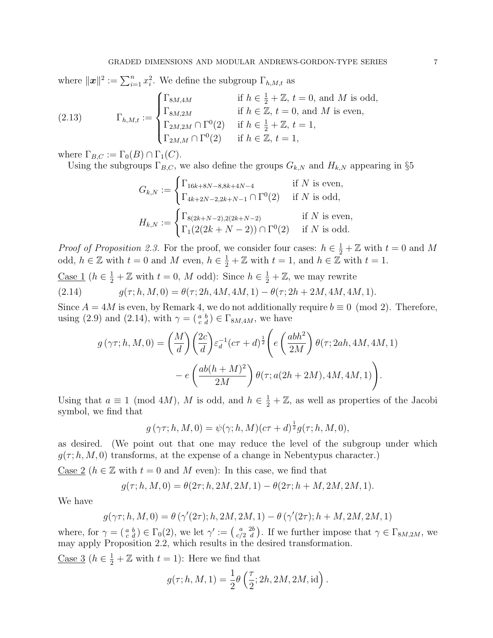where  $\|\boldsymbol{x}\|^2 := \sum_{i=1}^n x_i^2$ . We define the subgroup  $\Gamma_{h,M,t}$  as

(2.13) 
$$
\Gamma_{h,M,t} := \begin{cases} \Gamma_{8M,4M} & \text{if } h \in \frac{1}{2} + \mathbb{Z}, t = 0, \text{ and } M \text{ is odd,} \\ \Gamma_{8M,2M} & \text{if } h \in \mathbb{Z}, t = 0, \text{ and } M \text{ is even,} \\ \Gamma_{2M,2M} \cap \Gamma^0(2) & \text{if } h \in \frac{1}{2} + \mathbb{Z}, t = 1, \\ \Gamma_{2M,M} \cap \Gamma^0(2) & \text{if } h \in \mathbb{Z}, t = 1, \end{cases}
$$

where  $\Gamma_{B,C} := \Gamma_0(B) \cap \Gamma_1(C)$ .

Using the subgroups  $\Gamma_{B,C}$ , we also define the groups  $G_{k,N}$  and  $H_{k,N}$  appearing in §5

$$
G_{k,N} := \begin{cases} \Gamma_{16k+8N-8,8k+4N-4} & \text{if } N \text{ is even,} \\ \Gamma_{4k+2N-2,2k+N-1} \cap \Gamma^0(2) & \text{if } N \text{ is odd,} \end{cases}
$$

$$
H_{k,N} := \begin{cases} \Gamma_{8(2k+N-2),2(2k+N-2)} & \text{if } N \text{ is even,} \\ \Gamma_1(2(2k+N-2)) \cap \Gamma^0(2) & \text{if } N \text{ is odd.} \end{cases}
$$

*Proof of Proposition 2.3.* For the proof, we consider four cases:  $h \in \frac{1}{2} + \mathbb{Z}$  with  $t = 0$  and M odd,  $h \in \mathbb{Z}$  with  $t = 0$  and M even,  $h \in \frac{1}{2} + \mathbb{Z}$  with  $t = 1$ , and  $h \in \mathbb{Z}$  with  $t = 1$ .

<u>Case 1</u> ( $h \in \frac{1}{2} + \mathbb{Z}$  with  $t = 0$ , M odd): Since  $h \in \frac{1}{2} + \mathbb{Z}$ , we may rewrite (2.14)  $g(\tau; h, M, 0) = \theta(\tau; 2h, 4M, 4M, 1) - \theta(\tau; 2h + 2M, 4M, 4M, 1).$ 

Since  $A = 4M$  is even, by Remark 4, we do not additionally require  $b \equiv 0 \pmod{2}$ . Therefore, using (2.9) and (2.14), with  $\gamma = \begin{pmatrix} a & b \\ c & d \end{pmatrix} \in \Gamma_{8M, 4M}$ , we have

$$
g(\gamma \tau; h, M, 0) = \left(\frac{M}{d}\right) \left(\frac{2c}{d}\right) \varepsilon_d^{-1} (c\tau + d)^{\frac{1}{2}} \left(e\left(\frac{abh^2}{2M}\right) \theta(\tau; 2ah, 4M, 4M, 1) - e\left(\frac{ab(h+M)^2}{2M}\right) \theta(\tau; a(2h+2M), 4M, 4M, 1)\right).
$$

Using that  $a \equiv 1 \pmod{4M}$ , M is odd, and  $h \in \frac{1}{2} + \mathbb{Z}$ , as well as properties of the Jacobi symbol, we find that

$$
g(\gamma \tau; h, M, 0) = \psi(\gamma; h, M)(c\tau + d)^{\frac{1}{2}} g(\tau; h, M, 0),
$$

as desired. (We point out that one may reduce the level of the subgroup under which  $q(\tau; h, M, 0)$  transforms, at the expense of a change in Nebentypus character.)

Case 2 ( $h \in \mathbb{Z}$  with  $t = 0$  and M even): In this case, we find that

$$
g(\tau; h, M, 0) = \theta(2\tau; h, 2M, 2M, 1) - \theta(2\tau; h + M, 2M, 2M, 1).
$$

We have

$$
g(\gamma\tau;h,M,0)=\theta\left(\gamma'(2\tau);h,2M,2M,1\right)-\theta\left(\gamma'(2\tau);h+M,2M,2M,1\right)
$$

where, for  $\gamma = \begin{pmatrix} a & b \\ c & d \end{pmatrix} \in \Gamma_0(2)$ , we let  $\gamma' := \begin{pmatrix} a & 2b \\ c/2 & d \end{pmatrix}$ . If we further impose that  $\gamma \in \Gamma_{8M, 2M}$ , we may apply Proposition 2.2, which results in the desired transformation.

<u>Case 3</u> ( $h \in \frac{1}{2} + \mathbb{Z}$  with  $t = 1$ ): Here we find that

$$
g(\tau; h, M, 1) = \frac{1}{2}\theta\left(\frac{\tau}{2}; 2h, 2M, 2M, id\right).
$$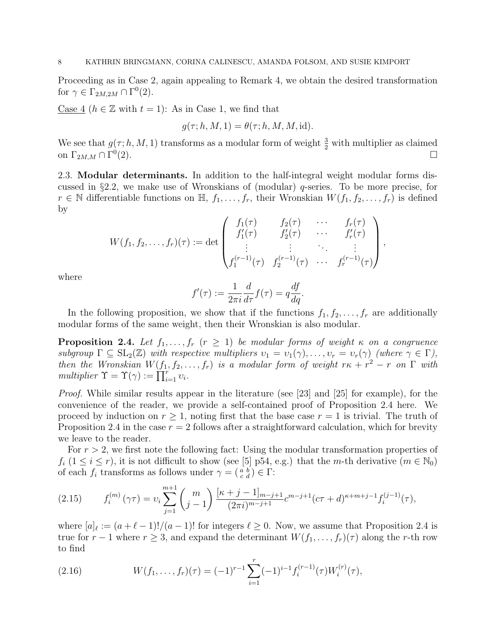Proceeding as in Case 2, again appealing to Remark 4, we obtain the desired transformation for  $\gamma \in \Gamma_{2M, 2M} \cap \Gamma^0(2)$ .

Case 4 ( $h \in \mathbb{Z}$  with  $t = 1$ ): As in Case 1, we find that

$$
g(\tau; h, M, 1) = \theta(\tau; h, M, M, id).
$$

We see that  $g(\tau; h, M, 1)$  transforms as a modular form of weight  $\frac{3}{2}$  with multiplier as claimed on  $\Gamma_{2M,M}\cap \Gamma^0$  $(2).$ 

2.3. Modular determinants. In addition to the half-integral weight modular forms discussed in §2.2, we make use of Wronskians of (modular)  $q$ -series. To be more precise, for  $r \in \mathbb{N}$  differentiable functions on  $\mathbb{H}, f_1, \ldots, f_r$ , their Wronskian  $W(f_1, f_2, \ldots, f_r)$  is defined by

$$
W(f_1, f_2, \ldots, f_r)(\tau) := \det \begin{pmatrix} f_1(\tau) & f_2(\tau) & \cdots & f_r(\tau) \\ f'_1(\tau) & f'_2(\tau) & \cdots & f'_r(\tau) \\ \vdots & \vdots & \ddots & \vdots \\ f_1^{(r-1)}(\tau) & f_2^{(r-1)}(\tau) & \cdots & f_r^{(r-1)}(\tau) \end{pmatrix},
$$

where

$$
f'(\tau) := \frac{1}{2\pi i} \frac{d}{d\tau} f(\tau) = q \frac{df}{dq}.
$$

In the following proposition, we show that if the functions  $f_1, f_2, \ldots, f_r$  are additionally modular forms of the same weight, then their Wronskian is also modular.

**Proposition 2.4.** Let  $f_1, \ldots, f_r$   $(r \geq 1)$  be modular forms of weight  $\kappa$  on a congruence subgroup  $\Gamma \subseteq SL_2(\mathbb{Z})$  with respective multipliers  $v_1 = v_1(\gamma), \ldots, v_r = v_r(\gamma)$  (where  $\gamma \in \Gamma$ ), then the Wronskian  $W(f_1, f_2, \ldots, f_r)$  is a modular form of weight  $r\kappa + r^2 - r$  on  $\Gamma$  with multiplier  $\Upsilon = \Upsilon(\gamma) := \prod_{i=1}^r v_i$ .

Proof. While similar results appear in the literature (see [23] and [25] for example), for the convenience of the reader, we provide a self-contained proof of Proposition 2.4 here. We proceed by induction on  $r \geq 1$ , noting first that the base case  $r = 1$  is trivial. The truth of Proposition 2.4 in the case  $r = 2$  follows after a straightforward calculation, which for brevity we leave to the reader.

For  $r > 2$ , we first note the following fact: Using the modular transformation properties of  $f_i$  ( $1 \le i \le r$ ), it is not difficult to show (see [5] p54, e.g.) that the m-th derivative ( $m \in \mathbb{N}_0$ ) of each  $f_i$  transforms as follows under  $\gamma = \begin{pmatrix} a & b \\ c & d \end{pmatrix} \in \Gamma$ :

(2.15) 
$$
f_i^{(m)}(\gamma \tau) = v_i \sum_{j=1}^{m+1} {m \choose j-1} \frac{\left[\kappa + j - 1\right]_{m-j+1}}{(2\pi i)^{m-j+1}} c^{m-j+1} (c\tau + d)^{\kappa + m + j - 1} f_i^{(j-1)}(\tau),
$$

where  $[a]_\ell := (a + \ell - 1)!/(a - 1)!$  for integers  $\ell \geq 0$ . Now, we assume that Proposition 2.4 is true for  $r-1$  where  $r \geq 3$ , and expand the determinant  $W(f_1, \ldots, f_r)(\tau)$  along the r-th row to find

(2.16) 
$$
W(f_1,\ldots,f_r)(\tau) = (-1)^{r-1} \sum_{i=1}^r (-1)^{i-1} f_i^{(r-1)}(\tau) W_i^{(r)}(\tau),
$$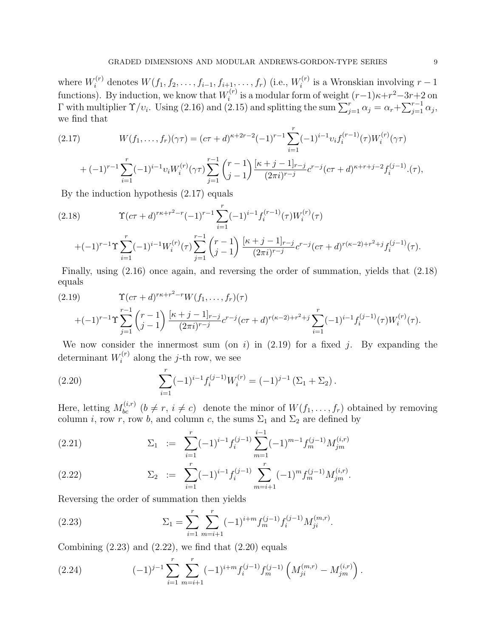where  $W_i^{(r)}$  denotes  $W(f_1, f_2, \ldots, f_{i-1}, f_{i+1}, \ldots, f_r)$  (i.e.,  $W_i^{(r)}$  $i^{(r)}$  is a Wronskian involving  $r-1$ functions). By induction, we know that  $W_i^{(r)}$  $i^{(r)}$  is a modular form of weight  $(r-1)\kappa+r^2-3r+2$  on Γ with multiplier  $\Upsilon/v_i$ . Using (2.16) and (2.15) and splitting the sum  $\sum_{j=1}^r \alpha_j = \alpha_r + \sum_{j=1}^{r-1} \alpha_j$ , we find that

(2.17) 
$$
W(f_1, ..., f_r)(\gamma \tau) = (c\tau + d)^{\kappa + 2r - 2}(-1)^{r-1} \sum_{i=1}^r (-1)^{i-1} v_i f_i^{(r-1)}(\tau) W_i^{(r)}(\gamma \tau)
$$

$$
+(-1)^{r-1}\sum_{i=1}^r(-1)^{i-1}v_iW_i^{(r)}(\gamma\tau)\sum_{j=1}^{r-1}\binom{r-1}{j-1}\frac{[\kappa+j-1]_{r-j}}{(2\pi i)^{r-j}}c^{r-j}(c\tau+d)^{\kappa+r+j-2}f_i^{(j-1)}(\tau),
$$

By the induction hypothesis (2.17) equals

$$
(2.18) \t\Upsilon(c\tau+d)^{r\kappa+r^{2}-r}(-1)^{r-1}\sum_{i=1}^{r}(-1)^{i-1}f_{i}^{(r-1)}(\tau)W_{i}^{(r)}(\tau) +(-1)^{r-1}\Upsilon\sum_{i=1}^{r}(-1)^{i-1}W_{i}^{(r)}(\tau)\sum_{j=1}^{r-1}\binom{r-1}{j-1}\frac{[\kappa+j-1]_{r-j}}{(2\pi i)^{r-j}}c^{r-j}(c\tau+d)^{r(\kappa-2)+r^{2}+j}f_{i}^{(j-1)}(\tau).
$$

Finally, using (2.16) once again, and reversing the order of summation, yields that (2.18) equals

$$
(2.19) \t\Upsilon(c\tau+d)^{r\kappa+r^2-r}W(f_1,\ldots,f_r)(\tau) +(-1)^{r-1}\Upsilon\sum_{j=1}^{r-1} \binom{r-1}{j-1} \frac{[\kappa+j-1]_{r-j}}{(2\pi i)^{r-j}}c^{r-j}(c\tau+d)^{r(\kappa-2)+r^2+j}\sum_{i=1}^r (-1)^{i-1}f_i^{(j-1)}(\tau)W_i^{(r)}(\tau).
$$

We now consider the innermost sum (on i) in  $(2.19)$  for a fixed j. By expanding the determinant  $W_i^{(r)}$  $i^{(r)}$  along the *j*-th row, we see

(2.20) 
$$
\sum_{i=1}^{r} (-1)^{i-1} f_i^{(j-1)} W_i^{(r)} = (-1)^{j-1} (\Sigma_1 + \Sigma_2).
$$

Here, letting  $M_{bc}^{(i,r)}$   $(b \neq r, i \neq c)$  denote the minor of  $W(f_1, \ldots, f_r)$  obtained by removing column *i*, row *r*, row *b*, and column *c*, the sums  $\Sigma_1$  and  $\Sigma_2$  are defined by

(2.21) 
$$
\Sigma_1 := \sum_{i=1}^r (-1)^{i-1} f_i^{(j-1)} \sum_{m=1}^{i-1} (-1)^{m-1} f_m^{(j-1)} M_{jm}^{(i,r)}
$$

(2.22) 
$$
\Sigma_2 := \sum_{i=1}^r (-1)^{i-1} f_i^{(j-1)} \sum_{m=i+1}^r (-1)^m f_m^{(j-1)} M_{jm}^{(i,r)}.
$$

Reversing the order of summation then yields

(2.23) 
$$
\Sigma_1 = \sum_{i=1}^r \sum_{m=i+1}^r (-1)^{i+m} f_m^{(j-1)} f_i^{(j-1)} M_{ji}^{(m,r)}.
$$

Combining  $(2.23)$  and  $(2.22)$ , we find that  $(2.20)$  equals

(2.24) 
$$
(-1)^{j-1} \sum_{i=1}^{r} \sum_{m=i+1}^{r} (-1)^{i+m} f_i^{(j-1)} f_m^{(j-1)} \left( M_{ji}^{(m,r)} - M_{jm}^{(i,r)} \right).
$$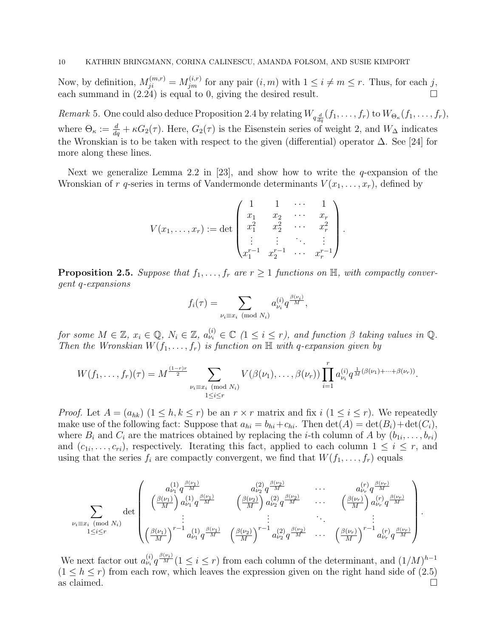Now, by definition,  $M_{ji}^{(m,r)} = M_{jm}^{(i,r)}$  for any pair  $(i,m)$  with  $1 \leq i \neq m \leq r$ . Thus, for each j, each summand in (2.24) is equal to 0, giving the desired result.

Remark 5. One could also deduce Proposition 2.4 by relating  $W_{q\frac{d}{dq}}(f_1,\ldots,f_r)$  to  $W_{\Theta_\kappa}(f_1,\ldots,f_r)$ , where  $\Theta_{\kappa} := \frac{d}{dq} + \kappa G_2(\tau)$ . Here,  $G_2(\tau)$  is the Eisenstein series of weight 2, and  $W_{\Delta}$  indicates the Wronskian is to be taken with respect to the given (differential) operator ∆. See [24] for more along these lines.

Next we generalize Lemma 2.2 in [23], and show how to write the  $q$ -expansion of the Wronskian of r q-series in terms of Vandermonde determinants  $V(x_1, \ldots, x_r)$ , defined by

$$
V(x_1, \ldots, x_r) := \det \begin{pmatrix} 1 & 1 & \cdots & 1 \\ x_1 & x_2 & \cdots & x_r \\ x_1^2 & x_2^2 & \cdots & x_r^2 \\ \vdots & \vdots & \ddots & \vdots \\ x_1^{r-1} & x_2^{r-1} & \cdots & x_r^{r-1} \end{pmatrix}.
$$

**Proposition 2.5.** Suppose that  $f_1, \ldots, f_r$  are  $r \geq 1$  functions on  $\mathbb{H}$ , with compactly convergent q-expansions

$$
f_i(\tau) = \sum_{\nu_i \equiv x_i \pmod{N_i}} a_{\nu_i}^{(i)} q^{\frac{\beta(\nu_i)}{M}},
$$

for some  $M \in \mathbb{Z}$ ,  $x_i \in \mathbb{Q}$ ,  $N_i \in \mathbb{Z}$ ,  $a_{\nu_i}^{(i)} \in \mathbb{C}$   $(1 \leq i \leq r)$ , and function  $\beta$  taking values in  $\mathbb{Q}$ . Then the Wronskian  $W(f_1, \ldots, f_r)$  is function on  $\mathbb H$  with q-expansion given by

$$
W(f_1, \ldots, f_r)(\tau) = M^{\frac{(1-r)r}{2}} \sum_{\substack{\nu_i \equiv x_i \pmod{N_i} \\ 1 \leq i \leq r}} V(\beta(\nu_1), \ldots, \beta(\nu_r)) \prod_{i=1}^r a_{\nu_i}^{(i)} q^{\frac{1}{M}(\beta(\nu_1) + \cdots + \beta(\nu_r))}.
$$

*Proof.* Let  $A = (a_{hk})$   $(1 \leq h, k \leq r)$  be an  $r \times r$  matrix and fix  $i$   $(1 \leq i \leq r)$ . We repeatedly make use of the following fact: Suppose that  $a_{hi} = b_{hi} + c_{hi}$ . Then  $\det(A) = \det(B_i) + \det(C_i)$ , where  $B_i$  and  $C_i$  are the matrices obtained by replacing the *i*-th column of A by  $(b_{1i}, \ldots, b_{ri})$ and  $(c_{1i}, \ldots, c_{ri})$ , respectively. Iterating this fact, applied to each column  $1 \leq i \leq r$ , and using that the series  $f_i$  are compactly convergent, we find that  $W(f_1, \ldots, f_r)$  equals

$$
\sum_{\nu_{i}\equiv x_{i} \pmod{N_{i}}} \det \begin{pmatrix} a_{\nu_{1}}^{(1)} q^{\frac{\beta(\nu_{1})}{M}} & a_{\nu_{2}}^{(2)} q^{\frac{\beta(\nu_{2})}{M}} & \cdots & a_{\nu_{r}}^{(r)} q^{\frac{\beta(\nu_{r})}{M}} \\ \left(\frac{\beta(\nu_{1})}{M}\right) a_{\nu_{1}}^{(1)} q^{\frac{\beta(\nu_{1})}{M}} & \left(\frac{\beta(\nu_{2})}{M}\right) a_{\nu_{2}}^{(2)} q^{\frac{\beta(\nu_{2})}{M}} & \cdots & \left(\frac{\beta(\nu_{r})}{M}\right) a_{\nu_{r}}^{(r)} q^{\frac{\beta(\nu_{r})}{M}} \\ \vdots & \vdots & \ddots & \vdots \\ \left(\frac{\beta(\nu_{1})}{M}\right)^{r-1} a_{\nu_{1}}^{(1)} q^{\frac{\beta(\nu_{1})}{M}} & \left(\frac{\beta(\nu_{2})}{M}\right)^{r-1} a_{\nu_{2}}^{(2)} q^{\frac{\beta(\nu_{2})}{M}} & \cdots & \left(\frac{\beta(\nu_{r})}{M}\right)^{r-1} a_{\nu_{r}}^{(r)} q^{\frac{\beta(\nu_{r})}{M}} \end{pmatrix}
$$

.

We next factor out  $a_{\nu_i}^{(i)} q^{\frac{\beta(\nu_i)}{M}} (1 \leq i \leq r)$  from each column of the determinant, and  $(1/M)^{h-1}$  $(1 \leq h \leq r)$  from each row, which leaves the expression given on the right hand side of  $(2.5)$ as claimed.  $\Box$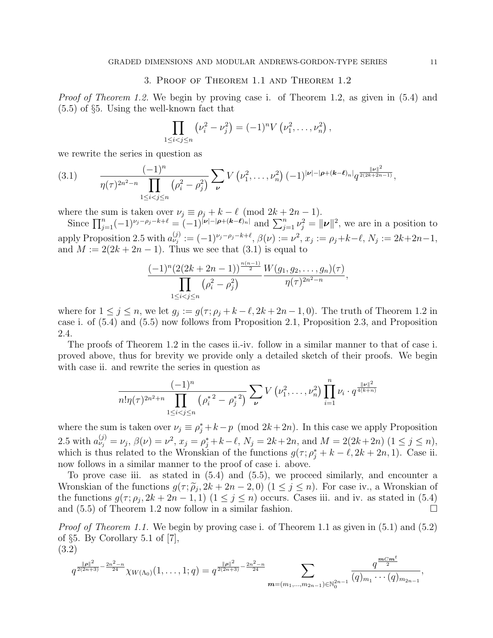#### 3. Proof of Theorem 1.1 and Theorem 1.2

*Proof of Theorem 1.2.* We begin by proving case i. of Theorem 1.2, as given in (5.4) and (5.5) of §5. Using the well-known fact that

$$
\prod_{1 \leq i < j \leq n} \left( \nu_i^2 - \nu_j^2 \right) = (-1)^n V \left( \nu_1^2, \dots, \nu_n^2 \right),
$$

we rewrite the series in question as

$$
(3.1) \qquad \frac{(-1)^n}{\eta(\tau)^{2n^2-n}\prod_{1\leq i
$$

where the sum is taken over  $\nu_j \equiv \rho_j + k - \ell \pmod{2k + 2n - 1}$ .

Since  $\prod_{j=1}^n (-1)^{\nu_j - \rho_j - k + \ell} = (-1)^{|\nu| - |\rho + (k-\ell)_n|}$  and  $\sum_{j=1}^n \nu_j^2 = ||\nu||^2$ , we are in a position to apply Proposition 2.5 with  $a_{\nu_j}^{(j)} := (-1)^{\nu_j - \rho_j - k + \ell}, \beta(\nu) := \nu^2, x_j := \rho_j + k - \ell, N_j := 2k + 2n - 1,$ and  $M := 2(2k + 2n - 1)$ . Thus we see that  $(3.1)$  is equal to

$$
\frac{(-1)^n(2(2k+2n-1))^{\frac{n(n-1)}{2}}}{\prod_{1\leq i < j \leq n} (\rho_i^2 - \rho_j^2)} \frac{W(g_1, g_2, \dots, g_n)(\tau)}{\eta(\tau)^{2n^2 - n}},
$$

where for  $1 \leq j \leq n$ , we let  $g_j := g(\tau; \rho_j + k - \ell, 2k + 2n - 1, 0)$ . The truth of Theorem 1.2 in case i. of (5.4) and (5.5) now follows from Proposition 2.1, Proposition 2.3, and Proposition 2.4.

The proofs of Theorem 1.2 in the cases ii.-iv. follow in a similar manner to that of case i. proved above, thus for brevity we provide only a detailed sketch of their proofs. We begin with case ii. and rewrite the series in question as

$$
\frac{(-1)^n}{n!\eta(\tau)^{2n^2+n}\prod_{1\leq i
$$

where the sum is taken over  $\nu_j \equiv \rho_j^* + k - p \pmod{2k + 2n}$ . In this case we apply Proposition 2.5 with  $a_{\nu_j}^{(j)} = \nu_j$ ,  $\beta(\nu) = \nu^2$ ,  $x_j = \rho_j^* + k - \ell$ ,  $N_j = 2k + 2n$ , and  $M = 2(2k + 2n)$   $(1 \le j \le n)$ , which is thus related to the Wronskian of the functions  $g(\tau; \rho_j^* + k - \ell, 2k + 2n, 1)$ . Case ii. now follows in a similar manner to the proof of case i. above.

To prove case iii. as stated in (5.4) and (5.5), we proceed similarly, and encounter a Wronskian of the functions  $g(\tau; \tilde{\rho}_j, 2k + 2n - 2, 0)$   $(1 \leq j \leq n)$ . For case iv., a Wronskian of<br>the functions  $g(\tau; \rho, 2k + 2n - 1, 1)$   $(1 \leq j \leq n)$  occurs. Cases iii, and iv. as stated in (5.4) the functions  $g(\tau; \rho_j, 2k+2n-1, 1)$   $(1 \leq j \leq n)$  occurs. Cases iii. and iv. as stated in (5.4) and  $(5.5)$  of Theorem 1.2 now follow in a similar fashion.

Proof of Theorem 1.1. We begin by proving case i. of Theorem 1.1 as given in  $(5.1)$  and  $(5.2)$ of §5. By Corollary 5.1 of [7], (3.2)

$$
q^{\frac{\|\rho\|^2}{2(2n+3)}-\frac{2n^2-n}{24}}\chi_{W(\Lambda_0)}(1,\ldots,1;q)=q^{\frac{\|\rho\|^2}{2(2n+3)}-\frac{2n^2-n}{24}}\sum_{\bm{m}=(m_1,\ldots,m_{2n-1})\in\mathbb{N}_0^{2n-1}}\frac{q^{\frac{\bm{m}C\bm{m}^t}{2}}}{(q)_{m_1}\cdots (q)_{m_{2n-1}}},
$$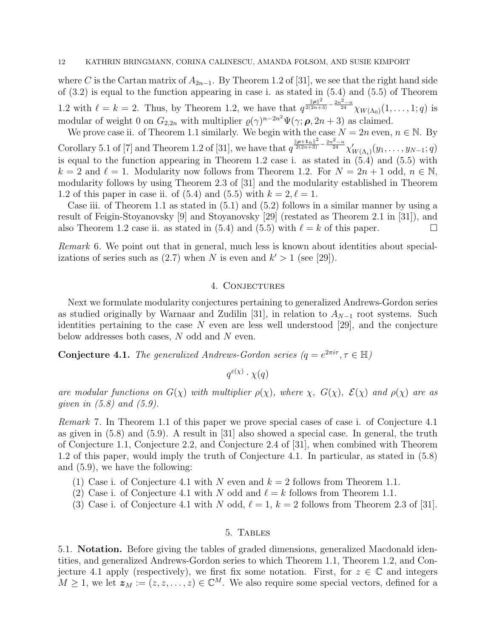where C is the Cartan matrix of  $A_{2n-1}$ . By Theorem 1.2 of [31], we see that the right hand side of (3.2) is equal to the function appearing in case i. as stated in (5.4) and (5.5) of Theorem 1.2 with  $\ell = k = 2$ . Thus, by Theorem 1.2, we have that  $q^{\frac{||\boldsymbol{\rho}||^2}{2(2n+3)} - \frac{2n^2-n}{24}} \chi_{W(\Lambda_0)}(1,\ldots,1;q)$  is modular of weight 0 on  $G_{2,2n}$  with multiplier  $\varrho(\gamma)^{n-2n^2}\Psi(\gamma;\boldsymbol{\rho},2n+3)$  as claimed.

We prove case ii. of Theorem 1.1 similarly. We begin with the case  $N = 2n$  even,  $n \in \mathbb{N}$ . By Corollary 5.1 of [7] and Theorem 1.2 of [31], we have that  $q^{\frac{\|p+1_n\|^2}{2(2n+3)} - \frac{2n^2-n}{24}} \chi'_{W(\Lambda_i)}(y_1,\ldots,y_{N-1};q)$ is equal to the function appearing in Theorem 1.2 case i. as stated in (5.4) and (5.5) with  $k = 2$  and  $\ell = 1$ . Modularity now follows from Theorem 1.2. For  $N = 2n + 1$  odd,  $n \in \mathbb{N}$ , modularity follows by using Theorem 2.3 of [31] and the modularity established in Theorem 1.2 of this paper in case ii. of (5.4) and (5.5) with  $k = 2, \ell = 1$ .

Case iii. of Theorem 1.1 as stated in (5.1) and (5.2) follows in a similar manner by using a result of Feigin-Stoyanovsky [9] and Stoyanovsky [29] (restated as Theorem 2.1 in [31]), and also Theorem 1.2 case ii. as stated in (5.4) and (5.5) with  $\ell = k$  of this paper.

Remark 6. We point out that in general, much less is known about identities about specializations of series such as  $(2.7)$  when N is even and  $k' > 1$  (see [29]).

# 4. Conjectures

Next we formulate modularity conjectures pertaining to generalized Andrews-Gordon series as studied originally by Warnaar and Zudilin [31], in relation to  $A_{N-1}$  root systems. Such identities pertaining to the case  $N$  even are less well understood [29], and the conjecture below addresses both cases, N odd and N even.

**Conjecture 4.1.** The generalized Andrews-Gordon series  $(q = e^{2\pi i \tau}, \tau \in \mathbb{H})$ 

 $q^{\varepsilon(\chi)}\cdot \chi(q)$ 

are modular functions on  $G(\chi)$  with multiplier  $\rho(\chi)$ , where  $\chi$ ,  $G(\chi)$ ,  $\mathcal{E}(\chi)$  and  $\rho(\chi)$  are as qiven in  $(5.8)$  and  $(5.9)$ .

Remark 7. In Theorem 1.1 of this paper we prove special cases of case i. of Conjecture 4.1 as given in (5.8) and (5.9). A result in [31] also showed a special case. In general, the truth of Conjecture 1.1, Conjecture 2.2, and Conjecture 2.4 of [31], when combined with Theorem 1.2 of this paper, would imply the truth of Conjecture 4.1. In particular, as stated in (5.8) and (5.9), we have the following:

- (1) Case i. of Conjecture 4.1 with N even and  $k = 2$  follows from Theorem 1.1.
- (2) Case i. of Conjecture 4.1 with N odd and  $\ell = k$  follows from Theorem 1.1.
- (3) Case i. of Conjecture 4.1 with N odd,  $\ell = 1, k = 2$  follows from Theorem 2.3 of [31].

# 5. Tables

5.1. Notation. Before giving the tables of graded dimensions, generalized Macdonald identities, and generalized Andrews-Gordon series to which Theorem 1.1, Theorem 1.2, and Conjecture 4.1 apply (respectively), we first fix some notation. First, for  $z \in \mathbb{C}$  and integers  $M \geq 1$ , we let  $z_M := (z, z, \ldots, z) \in \mathbb{C}^M$ . We also require some special vectors, defined for a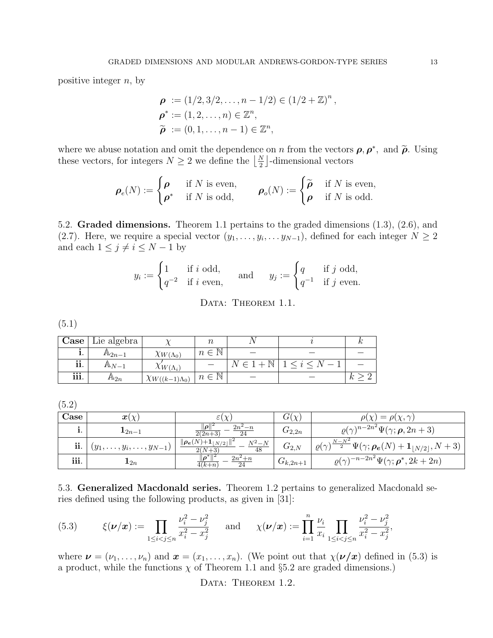positive integer  $n$ , by

$$
\rho := (1/2, 3/2, ..., n - 1/2) \in (1/2 + \mathbb{Z})^n,
$$
  
\n
$$
\rho^* := (1, 2, ..., n) \in \mathbb{Z}^n,
$$
  
\n
$$
\tilde{\rho} := (0, 1, ..., n - 1) \in \mathbb{Z}^n,
$$

where we abuse notation and omit the dependence on *n* from the vectors  $\rho$ ,  $\rho^*$ , and  $\tilde{\rho}$ . Using those vectors for integers  $N > 2$  we define the  $\lfloor N \rfloor$  dimensional vectors these vectors, for integers  $N \geq 2$  we define the  $\left\lfloor \frac{N}{2} \right\rfloor$ -dimensional vectors

$$
\boldsymbol{\rho}_e(N) := \begin{cases} \boldsymbol{\rho} & \text{if } N \text{ is even,} \\ \boldsymbol{\rho}^* & \text{if } N \text{ is odd,} \end{cases} \qquad \boldsymbol{\rho}_o(N) := \begin{cases} \widetilde{\boldsymbol{\rho}} & \text{if } N \text{ is even,} \\ \boldsymbol{\rho} & \text{if } N \text{ is odd.} \end{cases}
$$

5.2. Graded dimensions. Theorem 1.1 pertains to the graded dimensions (1.3), (2.6), and (2.7). Here, we require a special vector  $(y_1, \ldots, y_i, \ldots, y_{N-1})$ , defined for each integer  $N \geq 2$ and each  $1 \leq j \neq i \leq N-1$  by

$$
y_i := \begin{cases} 1 & \text{if } i \text{ odd}, \\ q^{-2} & \text{if } i \text{ even}, \end{cases} \quad \text{and} \quad y_j := \begin{cases} q & \text{if } j \text{ odd}, \\ q^{-1} & \text{if } j \text{ even}. \end{cases}
$$

DATA: THEOREM 1.1.

(5.1)

| $\text{Case}$              | $\perp$ Lie algebra $\perp$ |                            | $\it{n}$           |            |    |
|----------------------------|-----------------------------|----------------------------|--------------------|------------|----|
|                            | $A_{2n-1}$                  | $\chi_{W(\Lambda_0)}$      | $n \in \mathbb{N}$ |            |    |
| $\bullet$ $\bullet$<br>11. | $A\!\!\!\perp_{N-1}$        | $\chi_{W(\Lambda_i)}$      |                    | N<br>$\in$ |    |
| iii.                       | $A\Delta_{2n}$              | $\chi_{W((k-1)\Lambda_0)}$ | $n \in \mathbb{N}$ |            | k, |

(5.2)

| Case | $\boldsymbol{x}(\chi)$                |                                                   | $G(\chi)$    | $= \rho(\gamma, \gamma)$<br>$\omega \propto$                                                                      |
|------|---------------------------------------|---------------------------------------------------|--------------|-------------------------------------------------------------------------------------------------------------------|
|      | $\mathbf{1}_{2n-1}$                   | $\ \rho\ ^2$<br>$2n^2 - n$<br>$\frac{2(2n+3)}{2}$ | $G_{2,2n}$   | $\rho(\gamma)^{n-2n^2}\Psi(\gamma;\boldsymbol{\rho},2n+3)$                                                        |
| ii.  | $(y_1, \ldots, y_i, \ldots, y_{N-1})$ | $\ \rho_e(N)+1_{ N/2 }\ $<br>$N^2 - N$<br>48      | $G_{2,N}$    | $(\gamma)^{\frac{N-N^2}{2}} \Psi(\gamma; \rho_e(N) + \mathbf{1}_{\lfloor N/2 \rfloor}, N+3)$<br>$\varrho(\gamma)$ |
| iii. | $\mathbf{1}_{2n}$                     | $\ \boldsymbol{\rho}^*\ $<br>$2n^2+n$<br>$4(k+n)$ | $G_{k,2n+1}$ | $\rho(\gamma)^{-n-2n^2}\Psi(\gamma;\boldsymbol{\rho}^*,2k+2n)$                                                    |

5.3. Generalized Macdonald series. Theorem 1.2 pertains to generalized Macdonald series defined using the following products, as given in [31]:

(5.3) 
$$
\xi(\nu/\mathbf{x}) := \prod_{1 \le i < j \le n} \frac{\nu_i^2 - \nu_j^2}{x_i^2 - x_j^2} \quad \text{and} \quad \chi(\nu/\mathbf{x}) := \prod_{i=1}^n \frac{\nu_i}{x_i} \prod_{1 \le i < j \le n} \frac{\nu_i^2 - \nu_j^2}{x_i^2 - x_j^2},
$$

where  $\mathbf{v} = (\nu_1, \dots, \nu_n)$  and  $\mathbf{x} = (x_1, \dots, x_n)$ . (We point out that  $\chi(\mathbf{v}/\mathbf{x})$  defined in (5.3) is a product, while the functions  $\chi$  of Theorem 1.1 and §5.2 are graded dimensions.)

DATA: THEOREM 1.2.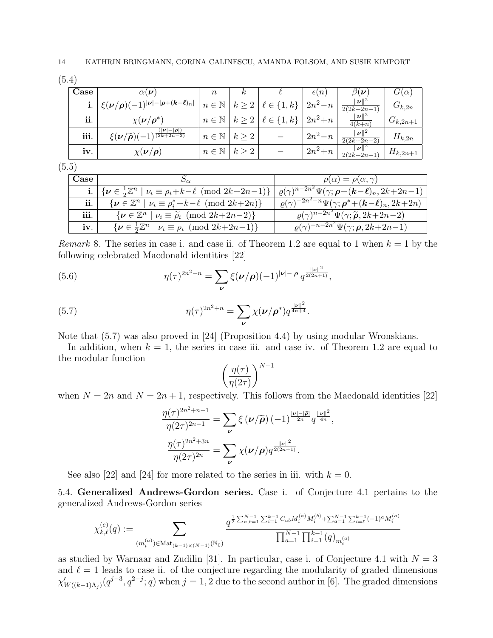(5.4)

| Case | $\alpha(\nu)$                                                                                                    | $\, n$                           | $\kappa$ |                                                         | $\epsilon(n)$              | $\beta(\bm{\nu})$                             | $G(\alpha)$  |
|------|------------------------------------------------------------------------------------------------------------------|----------------------------------|----------|---------------------------------------------------------|----------------------------|-----------------------------------------------|--------------|
|      | $\frac{1}{2} \frac{\xi(\bm{\nu}/\bm{\rho})(-1)^{ \bm{\nu}  -  \bm{\rho} + (\bm{k} - \bm{\ell})_n }}{ \bm{\nu} }$ |                                  |          | $n \in \mathbb{N} \mid k \geq 2 \mid \ell \in \{1, k\}$ | $2n^2 - n$                 | $ \nu $<br>$\sqrt{2(2k+2n-1)}$                | $G_{k,2n}$   |
| ii.  | $\chi(\nu/\rho^*)$                                                                                               |                                  |          | $n \in \mathbb{N} \mid k \geq 2 \mid \ell \in \{1, k\}$ | $\lfloor 2n^2 + n \rfloor$ | $\ \overline{\nu}\ ^2$<br>$\overline{4(k+n)}$ | $G_{k,2n+1}$ |
| iii. | $( \nu  -  \rho )$<br>$\xi(\nu/\widetilde{\rho})(-1)^{\frac{2k+2n-2}{2k+2n-2}}$                                  | $n \in \mathbb{N} \mid k > 2$    |          |                                                         | $2n^2 - n$                 | $\ \nu\ ^2$<br>$\sqrt{2(2k+2n-2)}$            | $H_{k,2n}$   |
| iv.  | $\chi(\nu/\rho)$                                                                                                 | $n \in \mathbb{N} \mid k \geq 2$ |          |                                                         | $2n^2+n$                   | $\ \bm{\nu}\ ^2$<br>$\sqrt{2(2k+2n-1)}$       | $H_{k,2n+1}$ |

(5.5)

| Case   |                                                                                                                  | $\rho(\alpha) = \rho(\alpha, \gamma)$                                                                              |
|--------|------------------------------------------------------------------------------------------------------------------|--------------------------------------------------------------------------------------------------------------------|
|        | <b>i</b> . $\left[\{\nu \in \frac{1}{2}\mathbb{Z}^n \mid \nu_i \equiv \rho_i + k - \ell \pmod{2k+2n-1}\}\right]$ | $+ \varrho(\gamma)^{n-2n^2} \Psi(\gamma; \boldsymbol{\rho} + (\boldsymbol{k} - \boldsymbol{\ell})_n, 2k + 2n - 1)$ |
| ii.    | $\{\boldsymbol{\nu} \in \mathbb{Z}^n \mid \nu_i \equiv \rho_i^* + k - \ell \pmod{2k+2n}\}$                       | $\sqrt{\rho(\gamma)^{-2n^2-n}\Psi(\gamma;\boldsymbol{\rho}^*+(\boldsymbol{k}-\boldsymbol{\ell})_n,2k+2n)}$         |
| iii. I | $\{\boldsymbol{\nu} \in \mathbb{Z}^n \mid \nu_i \equiv \widetilde{\rho}_i \pmod{2k+2n-2}\}$                      | $\overline{\rho(\gamma)}^{n-2n^2}\Psi(\gamma;\widetilde{\boldsymbol{\rho}},2k+2n-2)$                               |
| iv.    | $\{\boldsymbol{\nu} \in \frac{1}{2}\mathbb{Z}^n \mid \nu_i \equiv \rho_i \pmod{2k+2n-1}\}$                       | $\varrho(\gamma)^{-n-2n^2}\Psi(\gamma;\boldsymbol{\rho},2k+2n-1)$                                                  |

*Remark* 8. The series in case i. and case ii. of Theorem 1.2 are equal to 1 when  $k = 1$  by the following celebrated Macdonald identities [22]

(5.6) 
$$
\eta(\tau)^{2n^2-n} = \sum_{\nu} \xi(\nu/\rho)(-1)^{|\nu|-|\rho|} q^{\frac{||\nu||^2}{2(2n+1)}},
$$

(5.7) 
$$
\eta(\tau)^{2n^2+n} = \sum_{\nu} \chi(\nu/\rho^*) q^{\frac{||\nu||^2}{4n+4}}.
$$

Note that (5.7) was also proved in [24] (Proposition 4.4) by using modular Wronskians.

In addition, when  $k = 1$ , the series in case iii. and case iv. of Theorem 1.2 are equal to the modular function

$$
\left(\frac{\eta(\tau)}{\eta(2\tau)}\right)^{N-1}
$$

when  $N = 2n$  and  $N = 2n + 1$ , respectively. This follows from the Macdonald identities [22]

$$
\frac{\eta(\tau)^{2n^2+n-1}}{\eta(2\tau)^{2n-1}} = \sum_{\nu} \xi(\nu/\widetilde{\rho}) (-1)^{\frac{|\nu|-|\widetilde{\rho}|}{2n}} q^{\frac{||\nu||^2}{4n}},
$$

$$
\frac{\eta(\tau)^{2n^2+3n}}{\eta(2\tau)^{2n}} = \sum_{\nu} \chi(\nu/\rho) q^{\frac{||\nu||^2}{2(2n+1)}}.
$$

See also [22] and [24] for more related to the series in iii. with  $k = 0$ .

5.4. Generalized Andrews-Gordon series. Case i. of Conjecture 4.1 pertains to the generalized Andrews-Gordon series

$$
\chi_{k,\ell}^{(e)}(q) := \sum_{(m_i^{(a)}) \in \text{Mat}_{(k-1)\times(N-1)}(\mathbb{N}_0)} \frac{q^{\frac{1}{2}\sum_{a,b=1}^{N-1}\sum_{i=1}^{k-1}C_{ab}M_i^{(a)}M_i^{(b)} + \sum_{a=1}^{N-1}\sum_{i=\ell}^{k-1}(-1)^a M_i^{(a)}}{\prod_{a=1}^{N-1}\prod_{i=1}^{k-1}(q)_{m_i^{(a)}}}
$$

as studied by Warnaar and Zudilin [31]. In particular, case i. of Conjecture 4.1 with  $N = 3$ and  $\ell = 1$  leads to case ii. of the conjecture regarding the modularity of graded dimensions  $\chi'_{W((k-1)\Lambda_j)}(q^{j-3},q^{2-j};q)$  when  $j=1,2$  due to the second author in [6]. The graded dimensions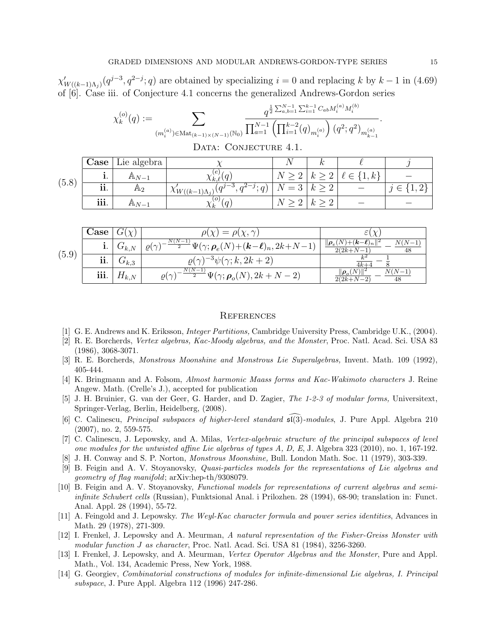$\chi'_{W((k-1)\Lambda_j)}(q^{j-3}, q^{2-j}; q)$  are obtained by specializing  $i = 0$  and replacing k by  $k-1$  in (4.69) of [6]. Case iii. of Conjecture 4.1 concerns the generalized Andrews-Gordon series

$$
\chi_k^{(o)}(q) := \sum_{(m_i^{(a)}) \in \text{Mat}_{(k-1)\times(N-1)}(\mathbb{N}_0)} \frac{q^{\frac{1}{2}\sum_{a,b=1}^{N-1}\sum_{i=1}^{k-1}C_{ab}M_i^{(a)}M_i^{(b)}}}{\prod_{a=1}^{N-1}\left(\prod_{i=1}^{k-2}(q)_{m_i^{(a)}}\right)(q^2;q^2)_{m_{k-1}^{(a)}}}
$$

| DATA: CONJECTURE 4.1. |  |
|-----------------------|--|
|-----------------------|--|

|       | Case                    | Lie algebra       |                                                                                  |          |                               |                                 |  |
|-------|-------------------------|-------------------|----------------------------------------------------------------------------------|----------|-------------------------------|---------------------------------|--|
| (5.8) |                         | $A\Lambda_{N-1}$  | へんん                                                                              |          | $\Omega$<br>$\mathbf{v}$<br>↵ | $\lfloor 1, k \rfloor$<br>$\in$ |  |
|       | $\bullet\bullet$<br>11. | $A_{2}$           | $\sqrt{a^{j-3}}$<br>$a^{2-a}$<br>$^{-j}$ ; $q_{j}$<br>$\chi_{W((k-1)\Lambda_i)}$ | $\Omega$ |                               |                                 |  |
|       | iii.                    | $A\!\!\!\perp N=$ | . Oʻ<br>$\alpha_k$                                                               |          |                               |                                 |  |

| (5.9) | Case |                  | $\gamma = \rho(\chi, \gamma)$                                                                                      |                                                        |  |  |
|-------|------|------------------|--------------------------------------------------------------------------------------------------------------------|--------------------------------------------------------|--|--|
|       | 1.   | $G_{k,N}$        | $N(N-1)$<br>$\mathcal{L}\Psi(\gamma;\bm{\rho}_e(N)\!+\!(\bm{k}\!-\!\bm{\ell})_n,2k\!+\!N\!-\!1)$<br>$\rho(\gamma)$ | $(N) + (k - \ell)_n   \mathbf{z}$<br>$2(2k+N-1)$<br>48 |  |  |
|       | ii.  | $\mathrm{trk.3}$ | $\rho(\gamma)^{-3}\psi(\gamma;k,2k+2)$                                                                             | $4k+$                                                  |  |  |
|       | iii. | $\pi_{k,N}$      | $N(N-1)$<br>$\mathcal{L}\Psi(\gamma;\rho_o(N),2k+N-2)$<br>$\rho(\gamma)$                                           | $\ \boldsymbol{\rho}_{o}(N)$<br>$2(2k+N-2)$<br>48      |  |  |

#### **REFERENCES**

- [1] G. E. Andrews and K. Eriksson, Integer Partitions, Cambridge University Press, Cambridge U.K., (2004).
- [2] R. E. Borcherds, Vertex algebras, Kac-Moody algebras, and the Monster, Proc. Natl. Acad. Sci. USA 83 (1986), 3068-3071.
- [3] R. E. Borcherds, Monstrous Moonshine and Monstrous Lie Superalgebras, Invent. Math. 109 (1992), 405-444.
- [4] K. Bringmann and A. Folsom, Almost harmonic Maass forms and Kac-Wakimoto characters J. Reine Angew. Math. (Crelle's J.), accepted for publication
- [5] J. H. Bruinier, G. van der Geer, G. Harder, and D. Zagier, The 1-2-3 of modular forms, Universitext, Springer-Verlag, Berlin, Heidelberg, (2008).
- [6] C. Calinescu, *Principal subspaces of higher-level standard*  $\mathfrak{sl}(3)$ -modules, J. Pure Appl. Algebra 210 (2007), no. 2, 559-575.
- [7] C. Calinescu, J. Lepowsky, and A. Milas, Vertex-algebraic structure of the principal subspaces of level one modules for the untwisted affine Lie algebras of types A, D, E, J. Algebra 323 (2010), no. 1, 167-192.
- [8] J. H. Conway and S. P. Norton, Monstrous Moonshine, Bull. London Math. Soc. 11 (1979), 303-339.
- [9] B. Feigin and A. V. Stoyanovsky, Quasi-particles models for the representations of Lie algebras and geometry of flag manifold; arXiv:hep-th/9308079.
- [10] B. Feigin and A. V. Stoyanovsky, Functional models for representations of current algebras and semiinfinite Schubert cells (Russian), Funktsional Anal. i Prilozhen. 28 (1994), 68-90; translation in: Funct. Anal. Appl. 28 (1994), 55-72.
- [11] A. Feingold and J. Lepowsky. The Weyl-Kac character formula and power series identities, Advances in Math. 29 (1978), 271-309.
- [12] I. Frenkel, J. Lepowsky and A. Meurman, A natural representation of the Fisher-Greiss Monster with modular function J as character, Proc. Natl. Acad. Sci. USA 81 (1984), 3256-3260.
- [13] I. Frenkel, J. Lepowsky, and A. Meurman, Vertex Operator Algebras and the Monster, Pure and Appl. Math., Vol. 134, Academic Press, New York, 1988.
- [14] G. Georgiev, Combinatorial constructions of modules for infinite-dimensional Lie algebras, I. Principal subspace, J. Pure Appl. Algebra 112 (1996) 247-286.

.